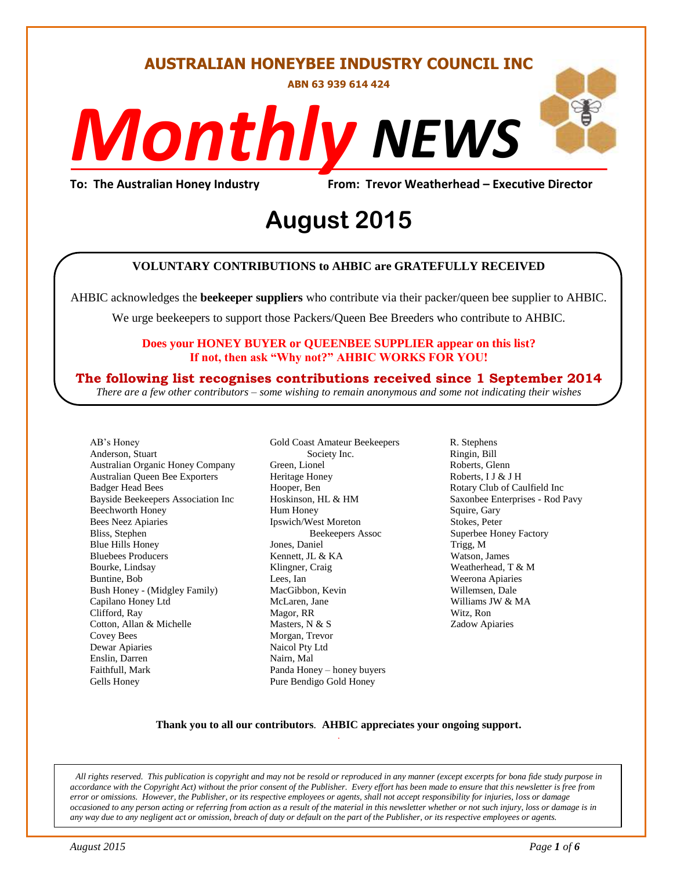#### **AUSTRALIAN HONEYBEE INDUSTRY COUNCIL INC**

**ABN 63 939 614 424**

# *NEWS Monthly*

**To: The Australian Honey Industry From: Trevor Weatherhead – Executive Director**

## *DS* **August 2015**

#### **VOLUNTARY CONTRIBUTIONS to AHBIC are GRATEFULLY RECEIVED**

AHBIC acknowledges the **beekeeper suppliers** who contribute via their packer/queen bee supplier to AHBIC.

We urge beekeepers to support those Packers/Queen Bee Breeders who contribute to AHBIC.

#### **Does your HONEY BUYER or QUEENBEE SUPPLIER appear on this list? If not, then ask "Why not?" AHBIC WORKS FOR YOU!**

#### **The following list recognises contributions received since 1 September 2014**

*There are a few other contributors – some wishing to remain anonymous and some not indicating their wishes*

AB's Honey Anderson, Stuart Australian Organic Honey Company Australian Queen Bee Exporters Badger Head Bees Bayside Beekeepers Association Inc Beechworth Honey Bees Neez Apiaries Bliss, Stephen Blue Hills Honey Bluebees Producers Bourke, Lindsay Buntine, Bob Bush Honey - (Midgley Family) Capilano Honey Ltd Clifford, Ray Cotton, Allan & Michelle Covey Bees Dewar Apiaries Enslin, Darren Faithfull, Mark Gells Honey

Gold Coast Amateur Beekeepers Society Inc. Green, Lionel Heritage Honey Hooper, Ben Hoskinson, HL & HM Hum Honey Ipswich/West Moreton Beekeepers Assoc Jones, Daniel Kennett, JL & KA Klingner, Craig Lees, Ian MacGibbon, Kevin McLaren, Jane Magor, RR Masters, N & S Morgan, Trevor Naicol Pty Ltd Nairn, Mal Panda Honey – honey buyers Pure Bendigo Gold Honey

R. Stephens Ringin, Bill Roberts, Glenn Roberts, I J & J H Rotary Club of Caulfield Inc Saxonbee Enterprises - Rod Pavy Squire, Gary Stokes, Peter Superbee Honey Factory Trigg, M Watson, James Weatherhead, T & M Weerona Apiaries Willemsen, Dale Williams JW & MA Witz, Ron Zadow Apiaries

#### **Thank you to all our contributors***.* **AHBIC appreciates your ongoing support.** .

*All rights reserved. This publication is copyright and may not be resold or reproduced in any manner (except excerpts for bona fide study purpose in accordance with the Copyright Act) without the prior consent of the Publisher. Every effort has been made to ensure that this newsletter is free from error or omissions. However, the Publisher, or its respective employees or agents, shall not accept responsibility for injuries, loss or damage occasioned to any person acting or referring from action as a result of the material in this newsletter whether or not such injury, loss or damage is in any way due to any negligent act or omission, breach of duty or default on the part of the Publisher, or its respective employees or agents.*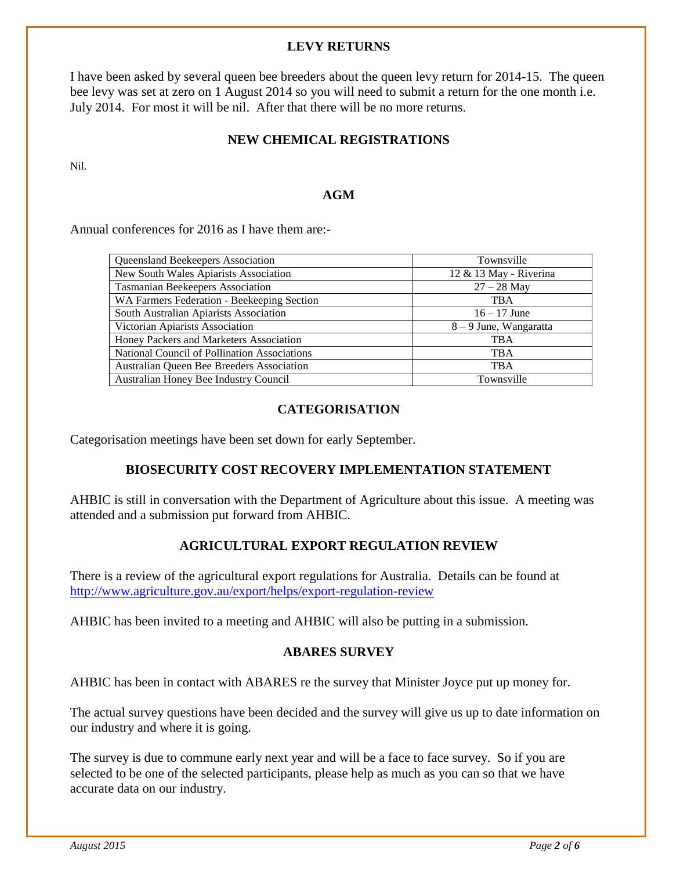#### **LEVY RETURNS**

I have been asked by several queen bee breeders about the queen levy return for 2014-15. The queen bee levy was set at zero on 1 August 2014 so you will need to submit a return for the one month i.e. July 2014. For most it will be nil. After that there will be no more returns.

#### **NEW CHEMICAL REGISTRATIONS**

Nil.

#### **AGM**

Annual conferences for 2016 as I have them are:-

| Queensland Beekeepers Association                   | Townsville             |
|-----------------------------------------------------|------------------------|
| New South Wales Apiarists Association               | 12 & 13 May - Riverina |
| Tasmanian Beekeepers Association                    | $27 - 28$ May          |
| WA Farmers Federation - Beekeeping Section          | <b>TBA</b>             |
| South Australian Apiarists Association              | $16 - 17$ June         |
| Victorian Apiarists Association                     | 8 – 9 June, Wangaratta |
| Honey Packers and Marketers Association             | <b>TBA</b>             |
| <b>National Council of Pollination Associations</b> | <b>TBA</b>             |
| Australian Queen Bee Breeders Association           | <b>TBA</b>             |
| Australian Honey Bee Industry Council               | Townsville             |
|                                                     |                        |

#### **CATEGORISATION**

Categorisation meetings have been set down for early September.

#### **BIOSECURITY COST RECOVERY IMPLEMENTATION STATEMENT**

AHBIC is still in conversation with the Department of Agriculture about this issue. A meeting was attended and a submission put forward from AHBIC.

#### **AGRICULTURAL EXPORT REGULATION REVIEW**

There is a review of the agricultural export regulations for Australia. Details can be found at <http://www.agriculture.gov.au/export/helps/export-regulation-review>

AHBIC has been invited to a meeting and AHBIC will also be putting in a submission.

#### **ABARES SURVEY**

AHBIC has been in contact with ABARES re the survey that Minister Joyce put up money for.

The actual survey questions have been decided and the survey will give us up to date information on our industry and where it is going.

The survey is due to commune early next year and will be a face to face survey. So if you are selected to be one of the selected participants, please help as much as you can so that we have accurate data on our industry.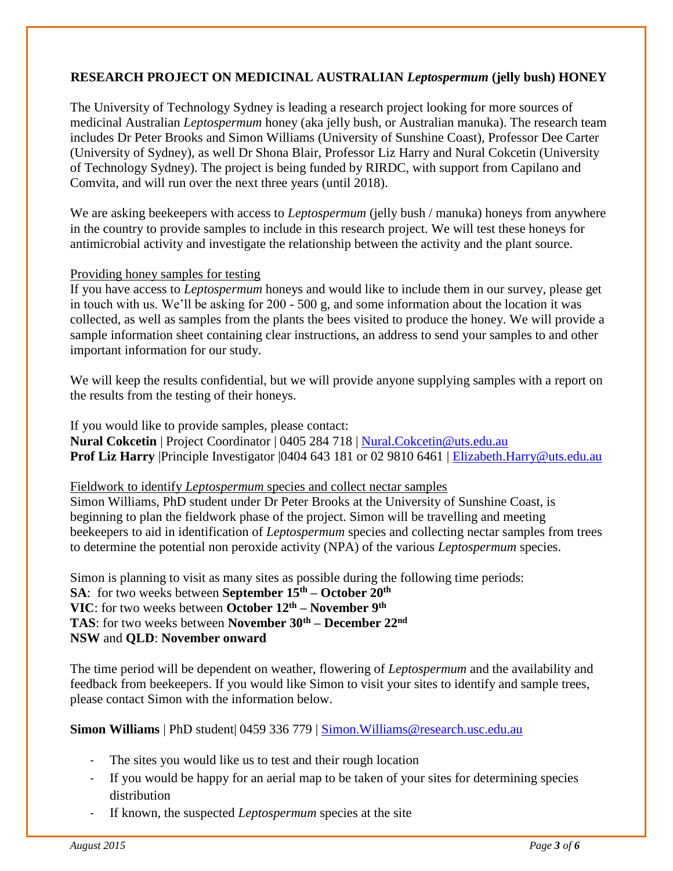#### **RESEARCH PROJECT ON MEDICINAL AUSTRALIAN** *Leptospermum* **(jelly bush) HONEY**

The University of Technology Sydney is leading a research project looking for more sources of medicinal Australian *Leptospermum* honey (aka jelly bush, or Australian manuka). The research team includes Dr Peter Brooks and Simon Williams (University of Sunshine Coast), Professor Dee Carter (University of Sydney), as well Dr Shona Blair, Professor Liz Harry and Nural Cokcetin (University of Technology Sydney). The project is being funded by RIRDC, with support from Capilano and Comvita, and will run over the next three years (until 2018).

We are asking beekeepers with access to *Leptospermum* (jelly bush / manuka) honeys from anywhere in the country to provide samples to include in this research project. We will test these honeys for antimicrobial activity and investigate the relationship between the activity and the plant source.

#### Providing honey samples for testing

If you have access to *Leptospermum* honeys and would like to include them in our survey, please get in touch with us. We'll be asking for 200 - 500 g, and some information about the location it was collected, as well as samples from the plants the bees visited to produce the honey. We will provide a sample information sheet containing clear instructions, an address to send your samples to and other important information for our study.

We will keep the results confidential, but we will provide anyone supplying samples with a report on the results from the testing of their honeys.

If you would like to provide samples, please contact: **Nural Cokcetin** | Project Coordinator | 0405 284 718 | [Nural.Cokcetin@uts.edu.au](mailto:Nural.Cokcetin@uts.edu.au) Prof Liz Harry |Principle Investigator |0404 643 181 or 02 9810 6461 | [Elizabeth.Harry@uts.edu.au](mailto:Elizabeth.Harry@uts.edu.au)

Fieldwork to identify *Leptospermum* species and collect nectar samples

Simon Williams, PhD student under Dr Peter Brooks at the University of Sunshine Coast, is beginning to plan the fieldwork phase of the project. Simon will be travelling and meeting beekeepers to aid in identification of *Leptospermum* species and collecting nectar samples from trees to determine the potential non peroxide activity (NPA) of the various *Leptospermum* species.

Simon is planning to visit as many sites as possible during the following time periods: **SA**: for two weeks between **September 15th – October 20th VIC**: for two weeks between **October 12th – November 9th TAS**: for two weeks between **November 30th – December 22nd NSW** and **QLD**: **November onward**

The time period will be dependent on weather, flowering of *Leptospermum* and the availability and feedback from beekeepers. If you would like Simon to visit your sites to identify and sample trees, please contact Simon with the information below.

**Simon Williams** | PhD student| 0459 336 779 | [Simon.Williams@research.usc.edu.au](mailto:Simon.Williams@research.usc.edu.au)

- The sites you would like us to test and their rough location
- If you would be happy for an aerial map to be taken of your sites for determining species distribution
- If known, the suspected *Leptospermum* species at the site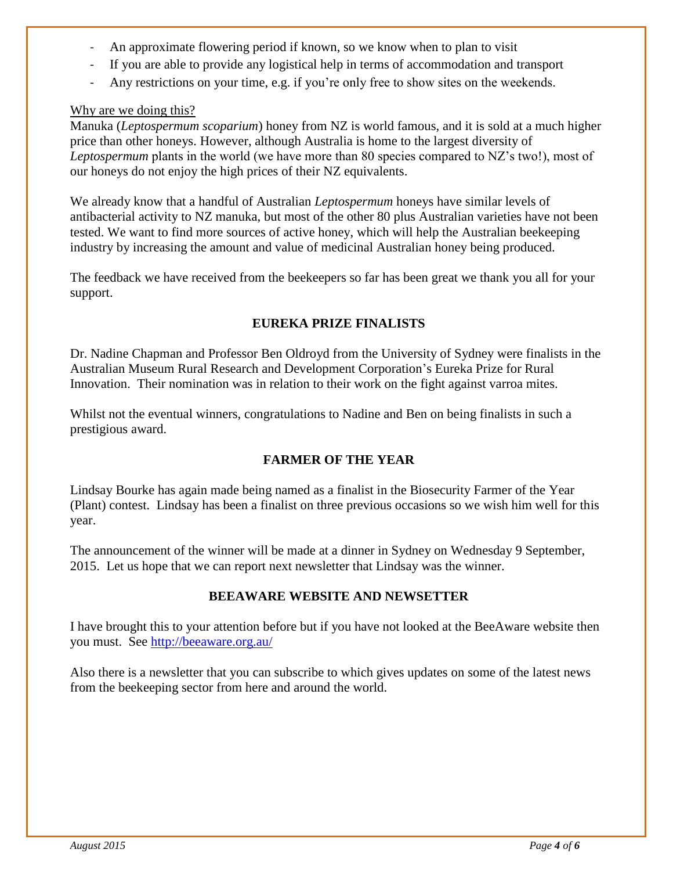- An approximate flowering period if known, so we know when to plan to visit
- If you are able to provide any logistical help in terms of accommodation and transport
- Any restrictions on your time, e.g. if you're only free to show sites on the weekends.

#### Why are we doing this?

Manuka (*Leptospermum scoparium*) honey from NZ is world famous, and it is sold at a much higher price than other honeys. However, although Australia is home to the largest diversity of *Leptospermum* plants in the world (we have more than 80 species compared to NZ's two!), most of our honeys do not enjoy the high prices of their NZ equivalents.

We already know that a handful of Australian *Leptospermum* honeys have similar levels of antibacterial activity to NZ manuka, but most of the other 80 plus Australian varieties have not been tested. We want to find more sources of active honey, which will help the Australian beekeeping industry by increasing the amount and value of medicinal Australian honey being produced.

The feedback we have received from the beekeepers so far has been great we thank you all for your support.

#### **EUREKA PRIZE FINALISTS**

Dr. Nadine Chapman and Professor Ben Oldroyd from the University of Sydney were finalists in the Australian Museum Rural Research and Development Corporation's Eureka Prize for Rural Innovation. Their nomination was in relation to their work on the fight against varroa mites.

Whilst not the eventual winners, congratulations to Nadine and Ben on being finalists in such a prestigious award.

#### **FARMER OF THE YEAR**

Lindsay Bourke has again made being named as a finalist in the Biosecurity Farmer of the Year (Plant) contest. Lindsay has been a finalist on three previous occasions so we wish him well for this year.

The announcement of the winner will be made at a dinner in Sydney on Wednesday 9 September, 2015. Let us hope that we can report next newsletter that Lindsay was the winner.

#### **BEEAWARE WEBSITE AND NEWSETTER**

I have brought this to your attention before but if you have not looked at the BeeAware website then you must. See<http://beeaware.org.au/>

Also there is a newsletter that you can subscribe to which gives updates on some of the latest news from the beekeeping sector from here and around the world.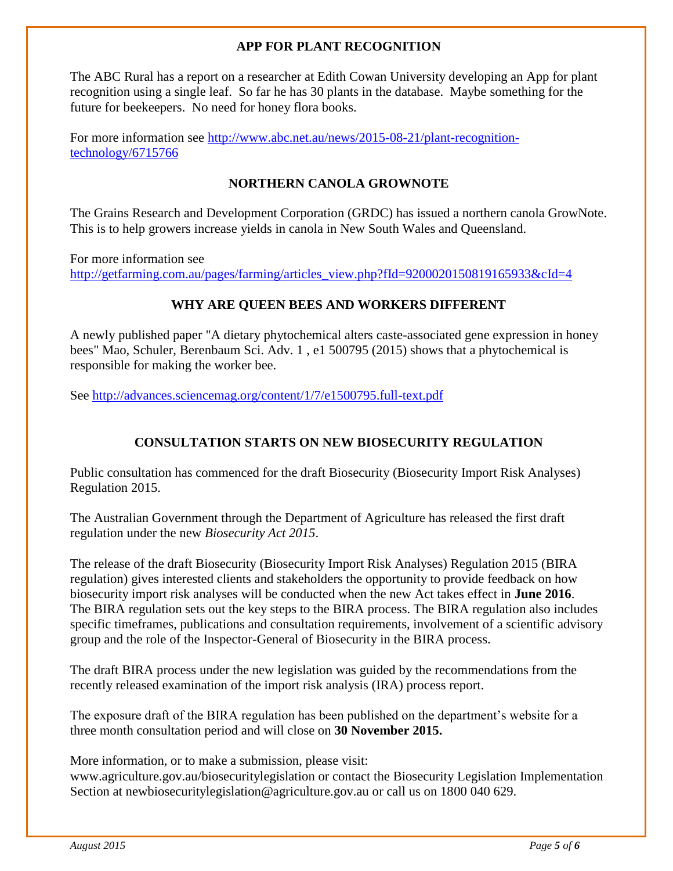#### **APP FOR PLANT RECOGNITION**

The ABC Rural has a report on a researcher at Edith Cowan University developing an App for plant recognition using a single leaf. So far he has 30 plants in the database. Maybe something for the future for beekeepers. No need for honey flora books.

For more information see [http://www.abc.net.au/news/2015-08-21/plant-recognition](http://www.abc.net.au/news/2015-08-21/plant-recognition-technology/6715766)[technology/6715766](http://www.abc.net.au/news/2015-08-21/plant-recognition-technology/6715766)

#### **NORTHERN CANOLA GROWNOTE**

The Grains Research and Development Corporation (GRDC) has issued a northern canola GrowNote. This is to help growers increase yields in canola in New South Wales and Queensland.

For more information see [http://getfarming.com.au/pages/farming/articles\\_view.php?fId=9200020150819165933&cId=4](http://getfarming.com.au/pages/farming/articles_view.php?fId=9200020150819165933&cId=4)

#### **WHY ARE QUEEN BEES AND WORKERS DIFFERENT**

A newly published paper "A dietary phytochemical alters caste-associated gene expression in honey bees" Mao, Schuler, Berenbaum Sci. Adv. 1 , e1 500795 (2015) shows that a phytochemical is responsible for making the worker bee.

See<http://advances.sciencemag.org/content/1/7/e1500795.full-text.pdf>

#### **CONSULTATION STARTS ON NEW BIOSECURITY REGULATION**

Public consultation has commenced for the draft Biosecurity (Biosecurity Import Risk Analyses) Regulation 2015.

The Australian Government through the Department of Agriculture has released the first draft regulation under the new *Biosecurity Act 2015*.

The release of the draft Biosecurity (Biosecurity Import Risk Analyses) Regulation 2015 (BIRA regulation) gives interested clients and stakeholders the opportunity to provide feedback on how biosecurity import risk analyses will be conducted when the new Act takes effect in **June 2016**. The BIRA regulation sets out the key steps to the BIRA process. The BIRA regulation also includes specific timeframes, publications and consultation requirements, involvement of a scientific advisory group and the role of the Inspector-General of Biosecurity in the BIRA process.

The draft BIRA process under the new legislation was guided by the recommendations from the recently released examination of the import risk analysis (IRA) process report.

The exposure draft of the BIRA regulation has been published on the department's website for a three month consultation period and will close on **30 November 2015.** 

More information, or to make a submission, please visit:

www.agriculture.gov.au/biosecuritylegislation or contact the Biosecurity Legislation Implementation Section at newbiosecuritylegislation@agriculture.gov.au or call us on 1800 040 629.